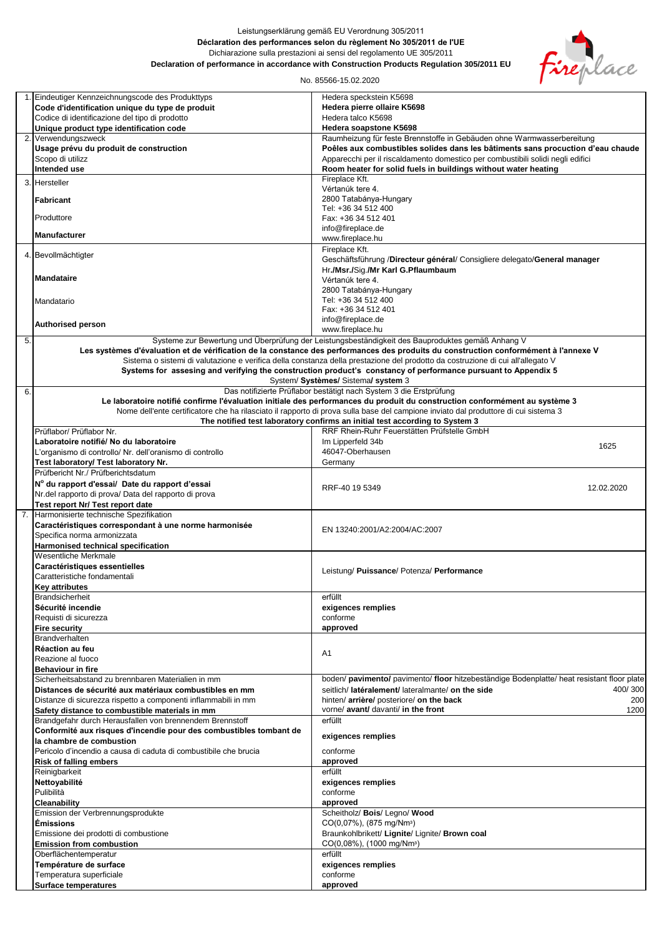## Leistungserklärung gemäß EU Verordnung 305/2011 **Déclaration des performances selon du règlement No 305/2011 de l'UE** Dichiarazione sulla prestazioni ai sensi del regolamento UE 305/2011 **Declaration of performance in accordance with Construction Products Regulation 305/2011 EU**



No. 85566-15.02.2020

|    | 1. Eindeutiger Kennzeichnungscode des Produkttyps                  | Hedera speckstein K5698                                                                                                              |
|----|--------------------------------------------------------------------|--------------------------------------------------------------------------------------------------------------------------------------|
|    | Code d'identification unique du type de produit                    | Hedera pierre ollaire K5698                                                                                                          |
|    |                                                                    | Hedera talco K5698                                                                                                                   |
|    | Codice di identificazione del tipo di prodotto                     |                                                                                                                                      |
|    | Unique product type identification code                            | Hedera soapstone K5698                                                                                                               |
|    | 2. Verwendungszweck                                                | Raumheizung für feste Brennstoffe in Gebäuden ohne Warmwasserbereitung                                                               |
|    | Usage prévu du produit de construction                             | Poêles aux combustibles solides dans les bâtiments sans procuction d'eau chaude                                                      |
|    |                                                                    |                                                                                                                                      |
|    | Scopo di utilizz                                                   | Apparecchi per il riscaldamento domestico per combustibili solidi negli edifici                                                      |
|    | Intended use                                                       | Room heater for solid fuels in buildings without water heating                                                                       |
|    |                                                                    | Fireplace Kft.                                                                                                                       |
|    | 3. Hersteller                                                      |                                                                                                                                      |
|    |                                                                    | Vértanúk tere 4.                                                                                                                     |
|    | <b>Fabricant</b>                                                   | 2800 Tatabánya-Hungary                                                                                                               |
|    |                                                                    | Tel: +36 34 512 400                                                                                                                  |
|    | Produttore                                                         | Fax: +36 34 512 401                                                                                                                  |
|    |                                                                    |                                                                                                                                      |
|    |                                                                    | info@fireplace.de                                                                                                                    |
|    | <b>Manufacturer</b>                                                | www.fireplace.hu                                                                                                                     |
|    |                                                                    | Fireplace Kft.                                                                                                                       |
|    | 4. Bevollmächtigter                                                |                                                                                                                                      |
|    |                                                                    | Geschäftsführung /Directeur général/ Consigliere delegato/General manager                                                            |
|    |                                                                    | Hr./Msr./Sig./Mr Karl G.Pflaumbaum                                                                                                   |
|    | <b>Mandataire</b>                                                  | Vértanúk tere 4.                                                                                                                     |
|    |                                                                    |                                                                                                                                      |
|    |                                                                    | 2800 Tatabánya-Hungary                                                                                                               |
|    | Mandatario                                                         | Tel: +36 34 512 400                                                                                                                  |
|    |                                                                    | Fax: +36 34 512 401                                                                                                                  |
|    |                                                                    | info@fireplace.de                                                                                                                    |
|    | <b>Authorised person</b>                                           |                                                                                                                                      |
|    |                                                                    | www.fireplace.hu                                                                                                                     |
| 5. |                                                                    | Systeme zur Bewertung und Überprüfung der Leistungsbeständigkeit des Bauproduktes gemäß Anhang V                                     |
|    |                                                                    | Les systèmes d'évaluation et de vérification de la constance des performances des produits du construction conformément à l'annexe V |
|    |                                                                    |                                                                                                                                      |
|    |                                                                    | Sistema o sistemi di valutazione e verifica della constanza della prestazione del prodotto da costruzione di cui all'allegato V      |
|    |                                                                    | Systems for assesing and verifying the construction product's constancy of performance pursuant to Appendix 5                        |
|    |                                                                    | System/ Systèmes/ Sistema/ system 3                                                                                                  |
| 6. |                                                                    | Das notifizierte Prüflabor bestätigt nach System 3 die Erstprüfung                                                                   |
|    |                                                                    |                                                                                                                                      |
|    |                                                                    | Le laboratoire notifié confirme l'évaluation initiale des performances du produit du construction conformément au système 3          |
|    |                                                                    | Nome dell'ente certificatore che ha rilasciato il rapporto di prova sulla base del campione inviato dal produttore di cui sistema 3  |
|    |                                                                    | The notified test laboratory confirms an initial test according to System 3                                                          |
|    | Prüflabor/ Prüflabor Nr.                                           | RRF Rhein-Ruhr Feuerstätten Prüfstelle GmbH                                                                                          |
|    |                                                                    |                                                                                                                                      |
|    | Laboratoire notifié/ No du laboratoire                             | Im Lipperfeld 34b<br>1625                                                                                                            |
|    | L'organismo di controllo/ Nr. dell'oranismo di controllo           | 46047-Oberhausen                                                                                                                     |
|    |                                                                    |                                                                                                                                      |
|    | Test laboratory/ Test laboratory Nr.                               | Germany                                                                                                                              |
|    | Prüfbericht Nr./ Prüfberichtsdatum                                 |                                                                                                                                      |
|    | N° du rapport d'essai/ Date du rapport d'essai                     |                                                                                                                                      |
|    |                                                                    | RRF-40 19 5349<br>12.02.2020                                                                                                         |
|    | Nr.del rapporto di prova/ Data del rapporto di prova               |                                                                                                                                      |
|    | Test report Nr/ Test report date                                   |                                                                                                                                      |
| 7. | Harmonisierte technische Spezifikation                             |                                                                                                                                      |
|    | Caractéristiques correspondant à une norme harmonisée              |                                                                                                                                      |
|    |                                                                    | EN 13240:2001/A2:2004/AC:2007                                                                                                        |
|    | Specifica norma armonizzata                                        |                                                                                                                                      |
|    | Harmonised technical specification                                 |                                                                                                                                      |
|    | Wesentliche Merkmale                                               |                                                                                                                                      |
|    |                                                                    |                                                                                                                                      |
|    | Caractéristiques essentielles                                      | Leistung/ Puissance/ Potenza/ Performance                                                                                            |
|    | Caratteristiche fondamentali                                       |                                                                                                                                      |
|    | Key attributes                                                     |                                                                                                                                      |
|    | <b>Brandsicherheit</b>                                             | erfüllt                                                                                                                              |
|    |                                                                    |                                                                                                                                      |
|    | Sécurité incendie                                                  | exigences remplies                                                                                                                   |
|    | Requisti di sicurezza                                              | conforme                                                                                                                             |
|    | <b>Fire security</b>                                               | approved                                                                                                                             |
|    |                                                                    |                                                                                                                                      |
|    | <b>Brandverhalten</b>                                              |                                                                                                                                      |
|    | Réaction au feu                                                    |                                                                                                                                      |
|    | Reazione al fuoco                                                  | A1                                                                                                                                   |
|    |                                                                    |                                                                                                                                      |
|    | <b>Behaviour in fire</b>                                           |                                                                                                                                      |
|    | Sicherheitsabstand zu brennbaren Materialien in mm                 | boden/ pavimento/ pavimento/ floor hitzebeständige Bodenplatte/ heat resistant floor plate                                           |
|    | Distances de sécurité aux matériaux combustibles en mm             | seitlich/ latéralement/ lateralmante/ on the side<br>400/300                                                                         |
|    | Distanze di sicurezza rispetto a componenti inflammabili in mm     | hinten/ arrière/ posteriore/ on the back<br>200                                                                                      |
|    |                                                                    |                                                                                                                                      |
|    | Safety distance to combustible materials in mm                     | vorne/ avant/ davanti/ in the front<br>1200                                                                                          |
|    | Brandgefahr durch Herausfallen von brennendem Brennstoff           | erfüllt                                                                                                                              |
|    | Conformité aux risques d'incendie pour des combustibles tombant de |                                                                                                                                      |
|    | la chambre de combustion                                           | exigences remplies                                                                                                                   |
|    |                                                                    |                                                                                                                                      |
|    | Pericolo d'incendio a causa di caduta di combustibile che brucia   | conforme                                                                                                                             |
|    | <b>Risk of falling embers</b>                                      | approved                                                                                                                             |
|    | Reinigbarkeit                                                      | erfüllt                                                                                                                              |
|    |                                                                    |                                                                                                                                      |
|    | Nettoyabilité                                                      | exigences remplies                                                                                                                   |
|    | Pulibilità                                                         | conforme                                                                                                                             |
|    | Cleanability                                                       | approved                                                                                                                             |
|    |                                                                    |                                                                                                                                      |
|    | Emission der Verbrennungsprodukte                                  | Scheitholz/ Bois/ Legno/ Wood                                                                                                        |
|    | <b>Émissions</b>                                                   | CO(0,07%), (875 mg/Nm <sup>3</sup> )                                                                                                 |
|    | Emissione dei prodotti di combustione                              | Braunkohlbrikett/ Lignite/ Lignite/ Brown coal                                                                                       |
|    |                                                                    |                                                                                                                                      |
|    | <b>Emission from combustion</b>                                    | CO(0,08%), (1000 mg/Nm <sup>3</sup> )                                                                                                |
|    | Oberflächentemperatur                                              | erfüllt                                                                                                                              |
|    | Température de surface                                             | exigences remplies                                                                                                                   |
|    | Temperatura superficiale                                           | conforme                                                                                                                             |
|    |                                                                    |                                                                                                                                      |
|    | <b>Surface temperatures</b>                                        | approved                                                                                                                             |